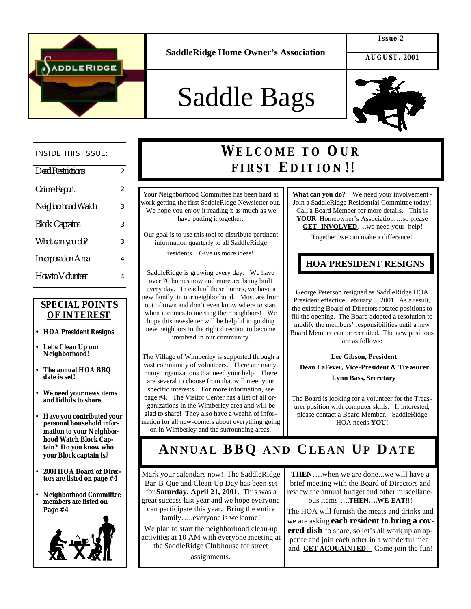

#### **Issue 2**

 **AUGUST, 2001**

# Saddle Bags



#### INSIDE THIS ISSUE:

| <b>Deed Restrictions</b>  | $\overline{2}$ |
|---------------------------|----------------|
| Crime Report              | $\overline{2}$ |
| Neighborhood Watch        | 3              |
| <b>Block Captains</b>     | 3              |
| What can you do?          | 3              |
| <b>Incorporation Area</b> | 4              |
| How to Volunteer          | 4              |

#### *SPECIAL POINTS OF INTEREST*

- **HOA President Resigns**
- **Let's Clean Up our Neighborhood!**
- **The annual HOA BBQ date is set!**
- **We need your news items and tidbits to share**
- **Have you contributed your personal household information to your Neighborhood Watch Block Captain? Do you know who your Block captain is?**
- **2001 HOA Board of Directors are listed on page #4**
- **Neighborhood Committee members are listed on Page #4**



### **WELCOME TO OUR FIRST EDITION !!**

Your Neighborhood Committee has been hard at work getting the first SaddleRidge Newsletter out. We hope you enjoy it reading it as much as we have putting it together.

Our goal is to use this tool to distribute pertinent information quarterly to all SaddleRidge

residents. Give us more ideas!

SaddleRidge is growing every day. We have over 70 homes now and more are being built every day. In each of these homes, we have a new family in our neighborhood. Most are from out of town and don't even know where to start when it comes to meeting their neighbors! We hope this newsletter will be helpful in guiding new neighbors in the right direction to become involved in our community.

The Village of Wimberley is supported through a vast community of volunteers. There are many, many organizations that need your help. There are several to choose from that will meet your specific interests. For more information, see page #4. The Visitor Center has a list of all organizations in the Wimberley area and will be glad to share! They also have a wealth of information for all new-comers about everything going on in Wimberley and the surrounding areas.

**What can you do?** We need your involvement - Join a SaddleRidge Residential Committee today! Call a Board Member for more details. This is **YOUR** Homeowner's Association….so please **GET INVOLVED**….we need your help!

Together, we can make a difference!

#### **HOA PRESIDENT RESIGNS**

George Peterson resigned as SaddleRidge HOA President effective February 5, 2001. As a result, the existing Board of Directors rotated positions to fill the opening. The Board adopted a resolution to modify the members' responsibilities until a new Board Member can be recruited. The new positions are as follows:

 **Lee Gibson, President Dean LaFever, Vice-President & Treasurer Lynn Bass, Secretary**

The Board is looking for a volunteer for the Treasurer position with computer skills. If interested, please contact a Board Member. SaddleRidge HOA needs **YOU!** 

### **ANNUAL BBQ AND C LEAN UP D ATE**

Mark your calendars now! The SaddleRidge Bar-B-Que and Clean-Up Day has been set for **Saturday, April 21, 2001**. This was a great success last year and we hope everyone can participate this year. Bring the entire family…..everyone is we lcome!

We plan to start the neighborhood clean-up activities at 10 AM with everyone meeting at the SaddleRidge Clubhouse for street

assignments.

**THEN**….when we are done...we will have a brief meeting with the Board of Directors and review the annual budget and other miscellaneous items…..**THEN….WE EAT!!!** 

The HOA will furnish the meats and drinks and we are asking **each resident to bring a covered dish** to share, so let's all work up an appetite and join each other in a wonderful meal and **GET ACQUAINTED!** Come join the fun!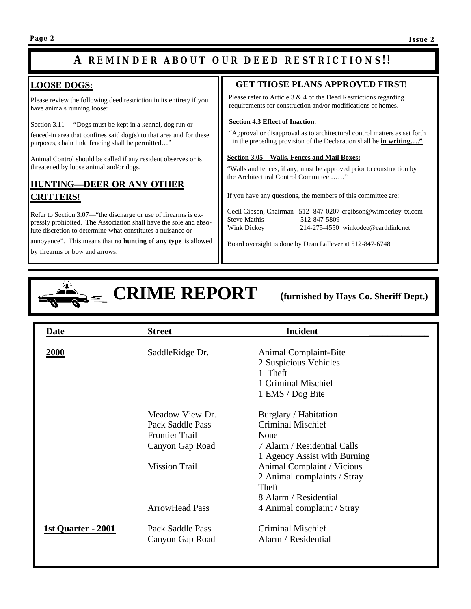### **A REMINDER ABOUT OUR DEED RESTRICTIONS !!**

### **LOOSE DOGS**:

Please review the following deed restriction in its entirety if you have animals running loose:

Section 3.11— "Dogs must be kept in a kennel, dog run or

fenced-in area that confines said dog(s) to that area and for these purposes, chain link fencing shall be permitted…"

Animal Control should be called if any resident observes or is threatened by loose animal and/or dogs.

#### **HUNTING—DEER OR ANY OTHER CRITTERS!**

Refer to Section 3.07—"the discharge or use of firearms is expressly prohibited. The Association shall have the sole and absolute discretion to determine what constitutes a nuisance or

annoyance". This means that **no hunting of any type** is allowed

by firearms or bow and arrows.

#### **GET THOSE PLANS APPROVED FIRST**!

 Please refer to Article 3 & 4 of the Deed Restrictions regarding requirements for construction and/or modifications of homes.

#### **Section 4.3 Effect of Inaction**:

 "Approval or disapproval as to architectural control matters as set forth in the preceding provision of the Declaration shall be **in writing…."**

#### **Section 3.05—Walls, Fences and Mail Boxes:**

 "Walls and fences, if any, must be approved prior to construction by the Architectural Control Committee ……"

If you have any questions, the members of this committee are:

|                     | Cecil Gibson, Chairman 512-847-0207 crgibson@wimberley-tx.com |
|---------------------|---------------------------------------------------------------|
| <b>Steve Mathis</b> | 512-847-5809                                                  |
| Wink Dickey         | 214-275-4550 winkodee@earthlink.net                           |

Board oversight is done by Dean LaFever at 512-847-6748



## **E** CRIME REPORT (furnished by Hays Co. Sheriff Dept.)

| Date               | <b>Street</b>                                                                   | <b>Incident</b>                                                                                                           |
|--------------------|---------------------------------------------------------------------------------|---------------------------------------------------------------------------------------------------------------------------|
| <b>2000</b>        | SaddleRidge Dr.                                                                 | <b>Animal Complaint-Bite</b><br>2 Suspicious Vehicles<br>1 Theft<br>1 Criminal Mischief<br>1 EMS / Dog Bite               |
|                    | Meadow View Dr.<br>Pack Saddle Pass<br><b>Frontier Trail</b><br>Canyon Gap Road | Burglary / Habitation<br>Criminal Mischief<br>None<br>7 Alarm / Residential Calls<br>1 Agency Assist with Burning         |
|                    | <b>Mission Trail</b><br><b>ArrowHead Pass</b>                                   | Animal Complaint / Vicious<br>2 Animal complaints / Stray<br>Theft<br>8 Alarm / Residential<br>4 Animal complaint / Stray |
| 1st Quarter - 2001 | Pack Saddle Pass<br>Canyon Gap Road                                             | <b>Criminal Mischief</b><br>Alarm / Residential                                                                           |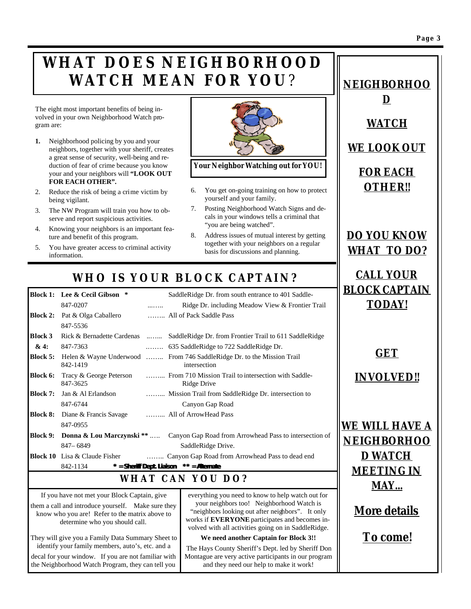### **WHAT DOES NEIGHBORHOOD WATCH MEAN FOR YOU**?

The eight most important benefits of being involved in your own Neighborhood Watch program are:

- **1.** Neighborhood policing by you and your neighbors, together with your sheriff, creates a great sense of security, well-being and reduction of fear of crime because you know your and your neighbors will **"LOOK OUT FOR EACH OTHER".**
- 2. Reduce the risk of being a crime victim by being vigilant.
- 3. The NW Program will train you how to observe and report suspicious activities.
- 4. Knowing your neighbors is an important feature and benefit of this program.
- 5. You have greater access to criminal activity information.

the Neighborhood Watch Program, they can tell you



**Your Neighbor Watching out for YOU!**

- 6. You get on-going training on how to protect yourself and your family.
- 7. Posting Neighborhood Watch Signs and decals in your windows tells a criminal that "you are being watched".
- 8. Address issues of mutual interest by getting together with your neighbors on a regular basis for discussions and planning.

and they need our help to make it work!

### *WHO IS YOUR BLOCK CAPTAIN?*

|                                                     | Block 1: Lee & Cecil Gibson *                                                                                                          |   | SaddleRidge Dr. from south entrance to 401 Saddle-                                                                                                                                                     | <u> В</u>                     |
|-----------------------------------------------------|----------------------------------------------------------------------------------------------------------------------------------------|---|--------------------------------------------------------------------------------------------------------------------------------------------------------------------------------------------------------|-------------------------------|
|                                                     | 847-0207                                                                                                                               |   | Ridge Dr. including Meadow View & Frontier Trail                                                                                                                                                       |                               |
| <b>Block 2:</b>                                     | Pat & Olga Caballero                                                                                                                   |   | All of Pack Saddle Pass                                                                                                                                                                                |                               |
|                                                     | 847-5536                                                                                                                               |   |                                                                                                                                                                                                        |                               |
| Block 3                                             |                                                                                                                                        |   | Rick & Bernadette Cardenas  SaddleRidge Dr. from Frontier Trail to 611 SaddleRidge                                                                                                                     |                               |
| &4:                                                 | 847-7363                                                                                                                               | . | 635 SaddleRidge to 722 SaddleRidge Dr.                                                                                                                                                                 |                               |
| <b>Block 5:</b>                                     | 842-1419                                                                                                                               |   | Helen & Wayne Underwood  From 746 Saddle Ridge Dr. to the Mission Trail<br>intersection                                                                                                                |                               |
| Block 6:                                            | Tracy & George Peterson<br>847-3625                                                                                                    |   | From 710 Mission Trail to intersection with Saddle-<br>Ridge Drive                                                                                                                                     |                               |
| <b>Block 7:</b>                                     | Jan & Al Erlandson                                                                                                                     |   | Mission Trail from SaddleRidge Dr. intersection to                                                                                                                                                     |                               |
|                                                     | 847-6744                                                                                                                               |   | Canyon Gap Road                                                                                                                                                                                        |                               |
| <b>Block 8:</b>                                     | Diane & Francis Savage                                                                                                                 |   | All of ArrowHead Pass                                                                                                                                                                                  |                               |
|                                                     | 847-0955                                                                                                                               |   |                                                                                                                                                                                                        | <u>И</u>                      |
| <b>Block 9:</b>                                     |                                                                                                                                        |   | <b>Donna &amp; Lou Marczynski</b> **  Canyon Gap Road from Arrowhead Pass to intersection of                                                                                                           |                               |
|                                                     | 847-6849                                                                                                                               |   | SaddleRidge Drive.                                                                                                                                                                                     | $\overline{\mathbf{\Lambda}}$ |
|                                                     | <b>Block 10</b> Lisa & Claude Fisher                                                                                                   |   | Canyon Gap Road from Arrowhead Pass to dead end                                                                                                                                                        |                               |
|                                                     | 842-1134                                                                                                                               |   | $* =$ Sheriff Dept. Liaison $** =$ Alternate                                                                                                                                                           |                               |
|                                                     |                                                                                                                                        |   | WHAT CAN YOU DO?                                                                                                                                                                                       |                               |
|                                                     | If you have not met your Block Captain, give                                                                                           |   | everything you need to know to help watch out for                                                                                                                                                      |                               |
|                                                     | them a call and introduce yourself. Make sure they<br>know who you are! Refer to the matrix above to<br>determine who you should call. |   | your neighbors too! Neighborhood Watch is<br>"neighbors looking out after neighbors". It only<br>works if EVERYONE participates and becomes in-<br>volved with all activities going on in SaddleRidge. |                               |
|                                                     | They will give you a Family Data Summary Sheet to                                                                                      |   | We need another Captain for Block 3!!                                                                                                                                                                  |                               |
| identify your family members, auto's, etc. and a    |                                                                                                                                        |   | The Hays County Sheriff's Dept. led by Sheriff Don                                                                                                                                                     |                               |
| decal for your window. If you are not familiar with |                                                                                                                                        |   | Montague are very active participants in our program                                                                                                                                                   |                               |

*WE LOOK OUT FOR EACH OTHER!!*

*NEIGHBORHOO*

*D*

*WATCH*

*DO YOU KNOW WHAT TO DO?*

*CALL YOUR BLOCK CAPTAIN TODAY!*

*GET* 

*INVOLVED!!*

*WE WILL HAVE A NEIGHBORHOO D WATCH MEETING IN MAY...*

*More details*

*To come!*